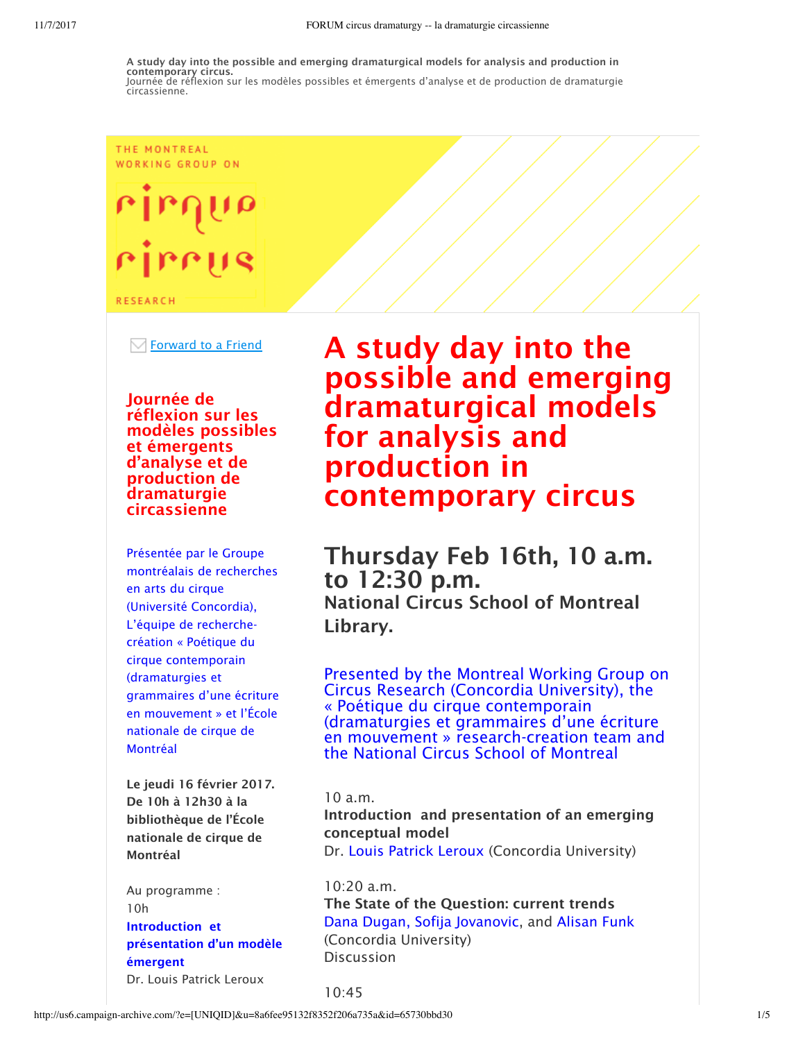#### THE MONTREAL WORKING GROUP ON

# rirr

**RESEARCH** 

Forward to a Friend

Journée de réflexion sur les modèles possibles et émergents d'analyse et de production de dramaturgie circassienne

Présentée par le Groupe montréalais de recherches en arts du cirque (Université Concordia), L'équipe de recherchecréation « Poétique du cirque contemporain (dramaturgies et grammaires d'une écriture en mouvement » et l'École nationale de cirque de Montréal

Le jeudi 16 février 2017. De 10h à 12h30 à la bibliothèque de l'École nationale de cirque de Montréal

Au programme : 10h Introduction et présentation d'un modèle émergent Dr. Louis Patrick Leroux

# A study day into the possible and emerging dramaturgical models for analysis and production in contemporary circus

Thursday Feb 16th, 10 a.m. to 12:30 p.m. National Circus School of Montreal Library.

Presented by the Montreal Working Group on Circus Research (Concordia University), the « Poétique du cirque contemporain (dramaturgies et grammaires d'une écriture en mouvement » research-creation team and the National Circus School of Montreal

10 a.m.

Introduction and presentation of an emerging conceptual model Dr. Louis Patrick Leroux (Concordia University)

10:20 a.m. The State of the Question: current trends Dana Dugan, Sofija Jovanovic, and Alisan Funk (Concordia University) Discussion

 $10.45$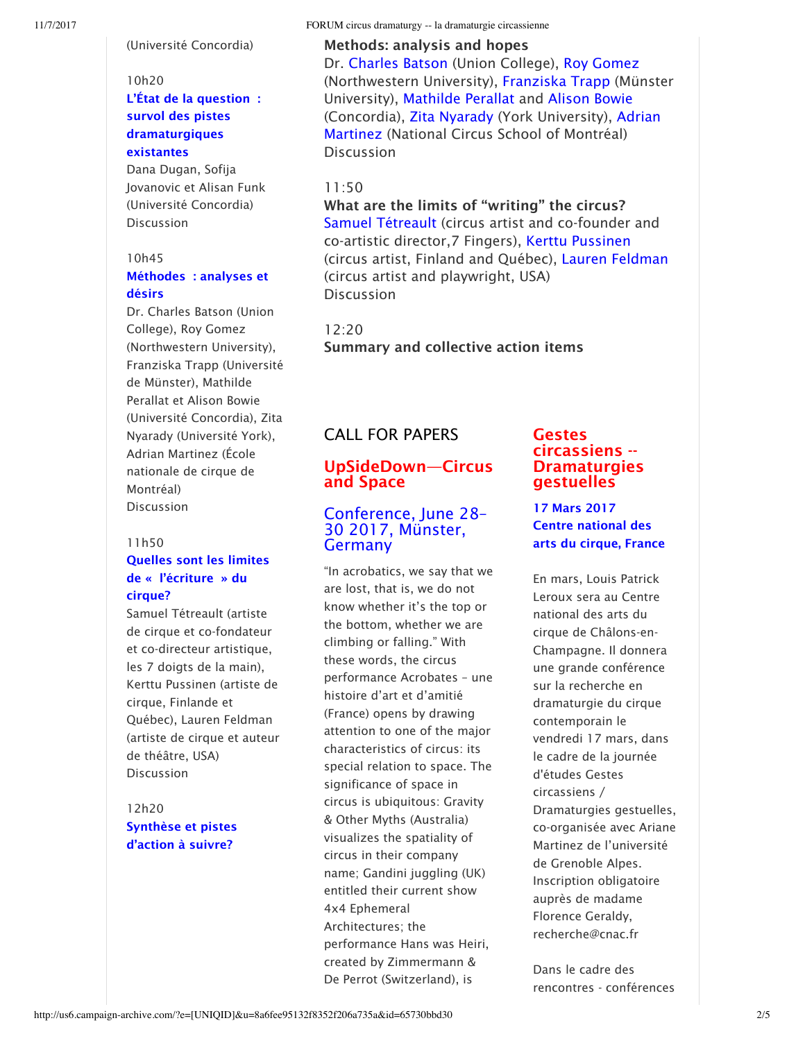(Université Concordia)

#### 10h20

#### L'État de la question : survol des pistes dramaturgiques existantes

Dana Dugan, Sofija Jovanovic et Alisan Funk (Université Concordia) Discussion

#### 10h45

#### Méthodes : analyses et désirs

Dr. Charles Batson (Union College), Roy Gomez (Northwestern University), Franziska Trapp (Université de Münster), Mathilde Perallat et Alison Bowie (Université Concordia), Zita Nyarady (Université York), Adrian Martinez (École nationale de cirque de Montréal) Discussion

#### 11h50

### Quelles sont les limites de « l'écriture » du cirque?

Samuel Tétreault (artiste de cirque et co-fondateur et co-directeur artistique, les 7 doigts de la main), Kerttu Pussinen (artiste de cirque, Finlande et Québec), Lauren Feldman (artiste de cirque et auteur de théâtre, USA) Discussion

12h20 Synthèse et pistes d'action à suivre?

#### Methods: analysis and hopes

Dr. Charles Batson (Union College), Roy Gomez (Northwestern University), Franziska Trapp (Münster University), Mathilde Perallat and Alison Bowie (Concordia), Zita Nyarady (York University), Adrian Martinez (National Circus School of Montréal) Discussion

#### 11:50

What are the limits of "writing" the circus? Samuel Tétreault (circus artist and co-founder and co-artistic director,7 Fingers), Kerttu Pussinen (circus artist, Finland and Québec), Lauren Feldman (circus artist and playwright, USA) Discussion

# 12:20

Summary and collective action items

# CALL FOR PAPERS

### UpSideDown—Circus and Space

## Conference, June 28– 30 2017, Münster, Germany

"In acrobatics, we say that we are lost, that is, we do not know whether it's the top or the bottom, whether we are climbing or falling." With these words, the circus performance Acrobates – une histoire d'art et d'amitié (France) opens by drawing attention to one of the major characteristics of circus: its special relation to space. The significance of space in circus is ubiquitous: Gravity & Other Myths (Australia) visualizes the spatiality of circus in their company name; Gandini juggling (UK) entitled their current show 4x4 Ephemeral Architectures; the performance Hans was Heiri, created by Zimmermann & De Perrot (Switzerland), is

#### Gestes circassiens -- **Dramaturgies** gestuelles

#### 17 Mars 2017 Centre national des arts du cirque, France

En mars, Louis Patrick Leroux sera au Centre national des arts du cirque de Châlons-en-Champagne. Il donnera une grande conférence sur la recherche en dramaturgie du cirque contemporain le vendredi 17 mars, dans le cadre de la journée d'études Gestes circassiens / Dramaturgies gestuelles, co-organisée avec Ariane Martinez de l'université de Grenoble Alpes. Inscription obligatoire auprès de madame Florence Geraldy, recherche@cnac.fr

Dans le cadre des rencontres - conférences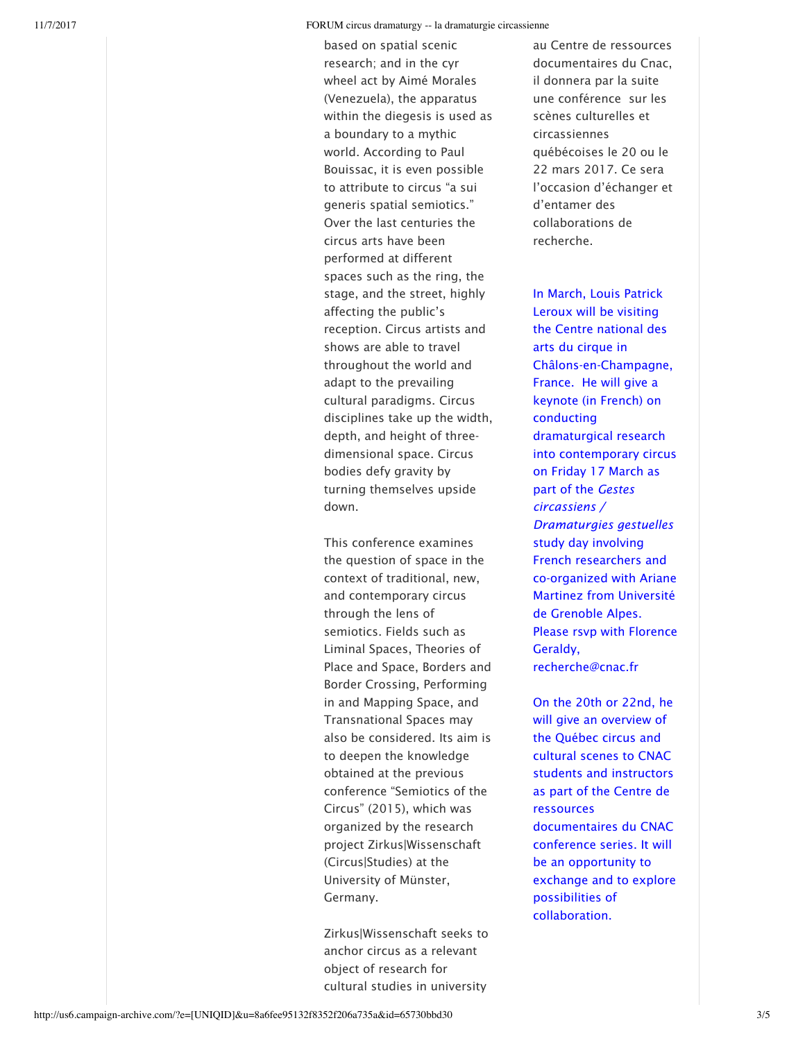based on spatial scenic research; and in the cyr wheel act by Aimé Morales (Venezuela), the apparatus within the diegesis is used as a boundary to a mythic world. According to Paul Bouissac, it is even possible to attribute to circus "a sui generis spatial semiotics." Over the last centuries the circus arts have been performed at different spaces such as the ring, the stage, and the street, highly affecting the public's reception. Circus artists and shows are able to travel throughout the world and adapt to the prevailing cultural paradigms. Circus disciplines take up the width, depth, and height of threedimensional space. Circus bodies defy gravity by turning themselves upside down.

This conference examines the question of space in the context of traditional, new, and contemporary circus through the lens of semiotics. Fields such as Liminal Spaces, Theories of Place and Space, Borders and Border Crossing, Performing in and Mapping Space, and Transnational Spaces may also be considered. Its aim is to deepen the knowledge obtained at the previous conference "Semiotics of the Circus" (2015), which was organized by the research project Zirkus|Wissenschaft (Circus|Studies) at the University of Münster, Germany.

Zirkus|Wissenschaft seeks to anchor circus as a relevant object of research for cultural studies in university

au Centre de ressources documentaires du Cnac, il donnera par la suite une conférence sur les scènes culturelles et circassiennes québécoises le 20 ou le 22 mars 2017. Ce sera l'occasion d'échanger et d'entamer des collaborations de recherche.

In March, Louis Patrick Leroux will be visiting the Centre national des arts du cirque in Châlons-en-Champagne, France. He will give a keynote (in French) on conducting dramaturgical research into contemporary circus on Friday 17 March as part of the *Gestes circassiens / Dramaturgies gestuelles* study day involving French researchers and co-organized with Ariane Martinez from Université de Grenoble Alpes. Please rsvp with Florence Geraldy, recherche@cnac.fr

On the 20th or 22nd, he will give an overview of the Québec circus and cultural scenes to CNAC students and instructors as part of the Centre de ressources documentaires du CNAC conference series. It will be an opportunity to exchange and to explore possibilities of collaboration.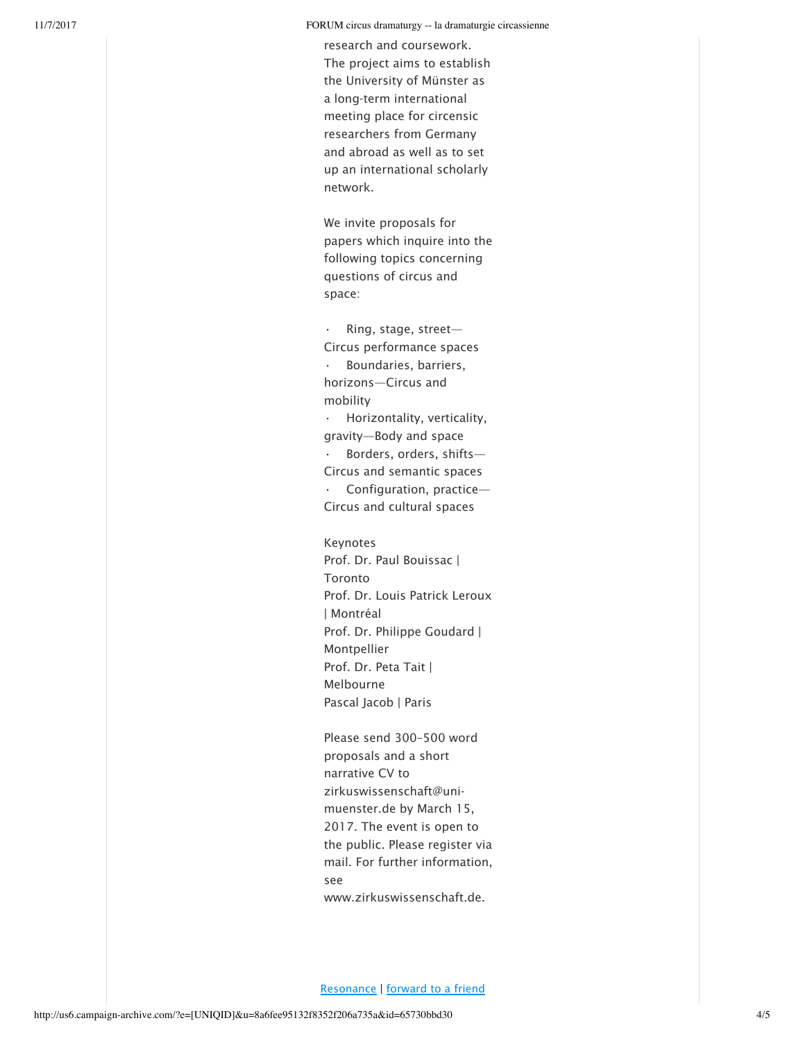research and coursework. The project aims to establish the University of Münster as a long-term international meeting place for circensic researchers from Germany and abroad as well as to set up an international scholarly network.

We invite proposals for papers which inquire into the following topics concerning questions of circus and space:

Ring, stage, street-Circus performance spaces • Boundaries, barriers, horizons—Circus and mobility • Horizontality, verticality, gravity—Body and space  $\cdot$  Borders, orders, shifts-Circus and semantic spaces Configuration, practice-Circus and cultural spaces

Keynotes Prof. Dr. Paul Bouissac | Toronto Prof. Dr. Louis Patrick Leroux | Montréal Prof. Dr. Philippe Goudard | Montpellier Prof. Dr. Peta Tait | Melbourne Pascal Jacob | Paris

Please send 300–500 word proposals and a short narrative CV to zirkuswissenschaft@unimuenster.de by March 15, 2017. The event is open to the public. Please register via mail. For further information, see www.zirkuswissenschaft.de.